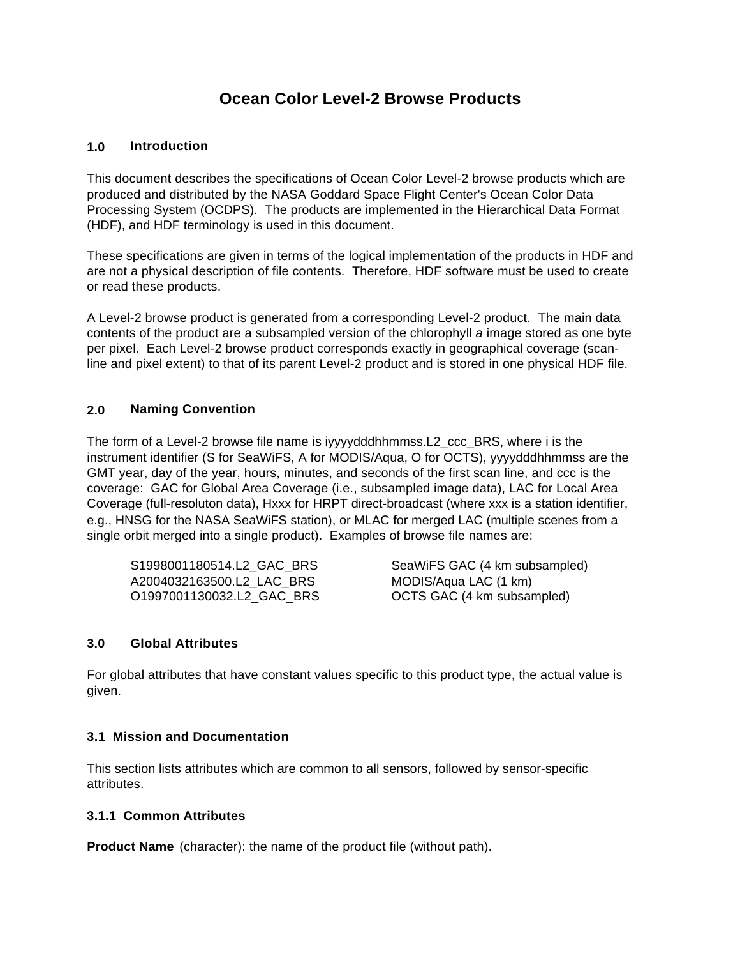# **Ocean Color Level-2 Browse Products**

## **1.0 Introduction**

This document describes the specifications of Ocean Color Level-2 browse products which are produced and distributed by the NASA Goddard Space Flight Center's Ocean Color Data Processing System (OCDPS). The products are implemented in the Hierarchical Data Format (HDF), and HDF terminology is used in this document.

These specifications are given in terms of the logical implementation of the products in HDF and are not a physical description of file contents. Therefore, HDF software must be used to create or read these products.

A Level-2 browse product is generated from a corresponding Level-2 product. The main data contents of the product are a subsampled version of the chlorophyll *a* image stored as one byte per pixel. Each Level-2 browse product corresponds exactly in geographical coverage (scanline and pixel extent) to that of its parent Level-2 product and is stored in one physical HDF file.

# **2.0 Naming Convention**

The form of a Level-2 browse file name is iyyyydddhhmmss.L2\_ccc\_BRS, where i is the instrument identifier (S for SeaWiFS, A for MODIS/Aqua, O for OCTS), yyyydddhhmmss are the GMT year, day of the year, hours, minutes, and seconds of the first scan line, and ccc is the coverage: GAC for Global Area Coverage (i.e., subsampled image data), LAC for Local Area Coverage (full-resoluton data), Hxxx for HRPT direct-broadcast (where xxx is a station identifier, e.g., HNSG for the NASA SeaWiFS station), or MLAC for merged LAC (multiple scenes from a single orbit merged into a single product). Examples of browse file names are:

| S1998001180514.L2 GAC BRS |  |
|---------------------------|--|
| A2004032163500.L2 LAC BRS |  |
| O1997001130032.L2 GAC BRS |  |

SeaWiFS GAC (4 km subsampled) MODIS/Aqua LAC (1 km) OCTS GAC (4 km subsampled)

#### **3.0 Global Attributes**

For global attributes that have constant values specific to this product type, the actual value is given.

#### **3.1 Mission and Documentation**

This section lists attributes which are common to all sensors, followed by sensor-specific attributes.

#### **3.1.1 Common Attributes**

**Product Name** (character): the name of the product file (without path).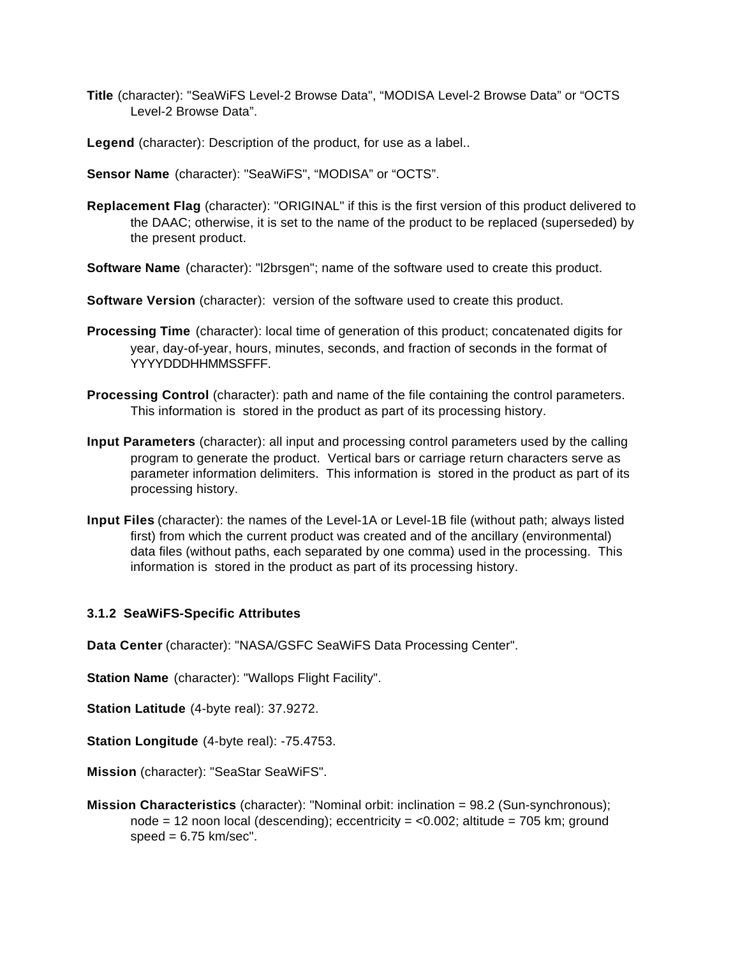- **Title** (character): "SeaWiFS Level-2 Browse Data", "MODISA Level-2 Browse Data" or "OCTS Level-2 Browse Data".
- **Legend** (character): Description of the product, for use as a label..
- **Sensor Name** (character): "SeaWiFS", "MODISA" or "OCTS".
- **Replacement Flag** (character): "ORIGINAL" if this is the first version of this product delivered to the DAAC; otherwise, it is set to the name of the product to be replaced (superseded) by the present product.
- **Software Name** (character): "l2brsgen"; name of the software used to create this product.
- **Software Version** (character): version of the software used to create this product.
- **Processing Time** (character): local time of generation of this product; concatenated digits for year, day-of-year, hours, minutes, seconds, and fraction of seconds in the format of YYYYDDDHHMMSSFFF.
- **Processing Control** (character): path and name of the file containing the control parameters. This information is stored in the product as part of its processing history.
- **Input Parameters** (character): all input and processing control parameters used by the calling program to generate the product. Vertical bars or carriage return characters serve as parameter information delimiters. This information is stored in the product as part of its processing history.
- **Input Files** (character): the names of the Level-1A or Level-1B file (without path; always listed first) from which the current product was created and of the ancillary (environmental) data files (without paths, each separated by one comma) used in the processing. This information is stored in the product as part of its processing history.

#### **3.1.2 SeaWiFS-Specific Attributes**

**Data Center** (character): "NASA/GSFC SeaWiFS Data Processing Center".

**Station Name** (character): "Wallops Flight Facility".

**Station Latitude** (4-byte real): 37.9272.

**Station Longitude** (4-byte real): -75.4753.

**Mission** (character): "SeaStar SeaWiFS".

**Mission Characteristics** (character): "Nominal orbit: inclination = 98.2 (Sun-synchronous); node = 12 noon local (descending); eccentricity =  $< 0.002$ ; altitude = 705 km; ground  $speed = 6.75 km/sec$ ".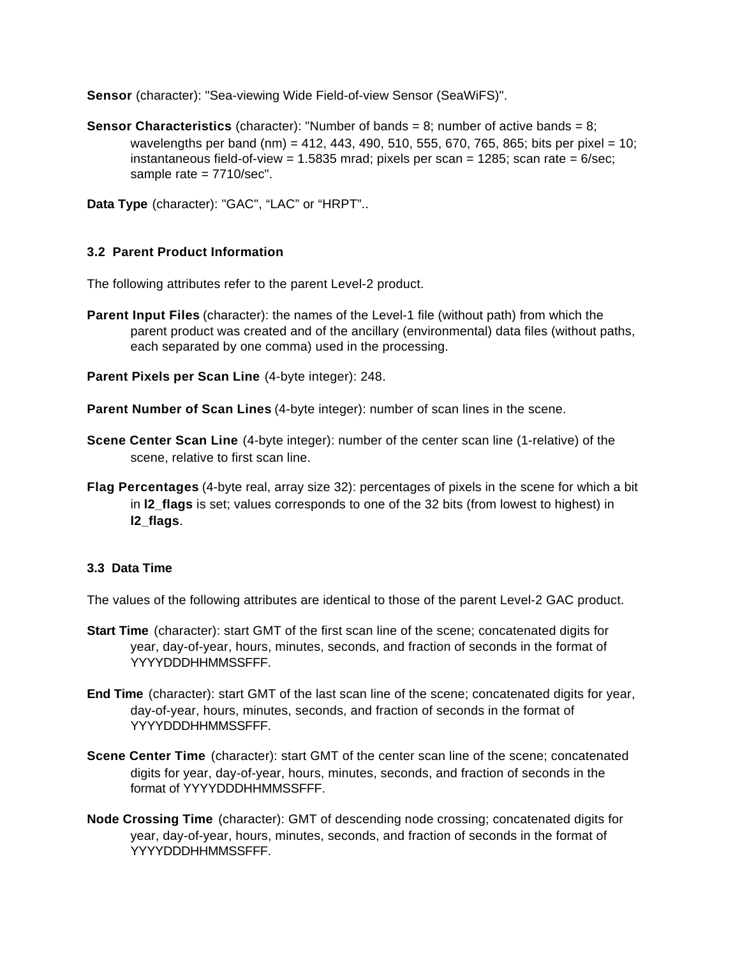**Sensor** (character): "Sea-viewing Wide Field-of-view Sensor (SeaWiFS)".

- **Sensor Characteristics** (character): "Number of bands = 8; number of active bands = 8; wavelengths per band (nm) = 412, 443, 490, 510, 555, 670, 765, 865; bits per pixel = 10; instantaneous field-of-view =  $1.5835$  mrad; pixels per scan =  $1285$ ; scan rate =  $6$ /sec; sample rate = 7710/sec".
- **Data Type** (character): "GAC", "LAC" or "HRPT"..

# **3.2 Parent Product Information**

The following attributes refer to the parent Level-2 product.

- **Parent Input Files** (character): the names of the Level-1 file (without path) from which the parent product was created and of the ancillary (environmental) data files (without paths, each separated by one comma) used in the processing.
- **Parent Pixels per Scan Line** (4-byte integer): 248.
- **Parent Number of Scan Lines** (4-byte integer): number of scan lines in the scene.
- **Scene Center Scan Line** (4-byte integer): number of the center scan line (1-relative) of the scene, relative to first scan line.
- **Flag Percentages** (4-byte real, array size 32): percentages of pixels in the scene for which a bit in **l2** flags is set; values corresponds to one of the 32 bits (from lowest to highest) in **l2\_flags**.

#### **3.3 Data Time**

The values of the following attributes are identical to those of the parent Level-2 GAC product.

- **Start Time** (character): start GMT of the first scan line of the scene; concatenated digits for year, day-of-year, hours, minutes, seconds, and fraction of seconds in the format of YYYYDDDHHMMSSFFF.
- **End Time** (character): start GMT of the last scan line of the scene; concatenated digits for year, day-of-year, hours, minutes, seconds, and fraction of seconds in the format of YYYYDDDHHMMSSFFF.
- **Scene Center Time** (character): start GMT of the center scan line of the scene; concatenated digits for year, day-of-year, hours, minutes, seconds, and fraction of seconds in the format of YYYYDDDHHMMSSFFF.
- **Node Crossing Time** (character): GMT of descending node crossing; concatenated digits for year, day-of-year, hours, minutes, seconds, and fraction of seconds in the format of YYYYDDDHHMMSSFFF.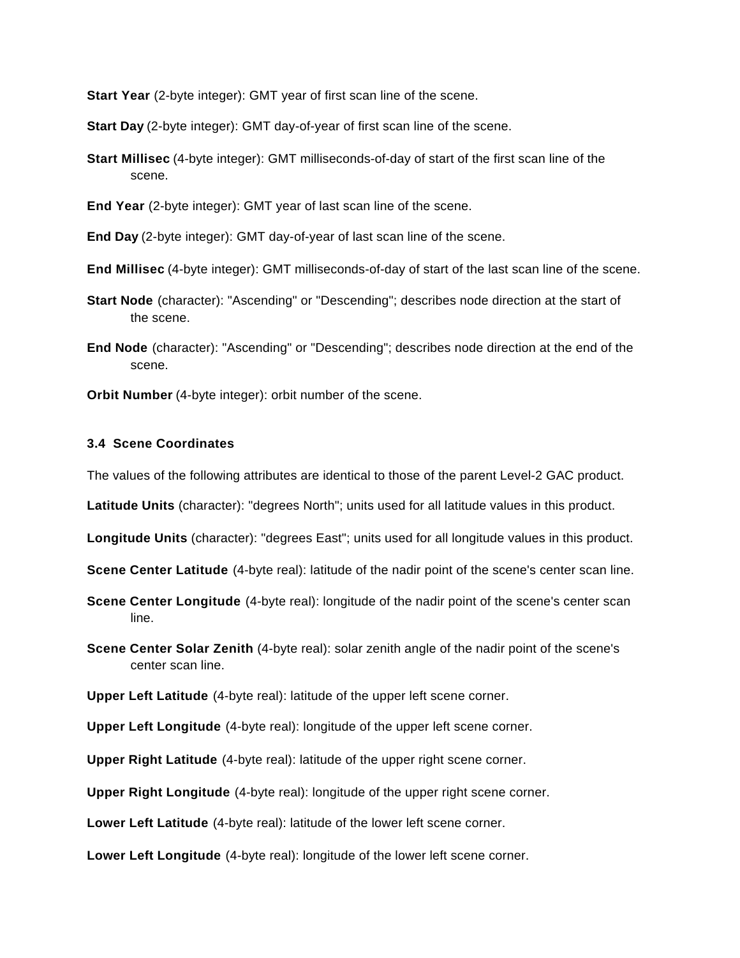**Start Year** (2-byte integer): GMT year of first scan line of the scene.

**Start Day** (2-byte integer): GMT day-of-year of first scan line of the scene.

**Start Millisec** (4-byte integer): GMT milliseconds-of-day of start of the first scan line of the scene.

**End Year** (2-byte integer): GMT year of last scan line of the scene.

**End Day** (2-byte integer): GMT day-of-year of last scan line of the scene.

**End Millisec** (4-byte integer): GMT milliseconds-of-day of start of the last scan line of the scene.

- **Start Node** (character): "Ascending" or "Descending"; describes node direction at the start of the scene.
- **End Node** (character): "Ascending" or "Descending"; describes node direction at the end of the scene.

**Orbit Number** (4-byte integer): orbit number of the scene.

#### **3.4 Scene Coordinates**

The values of the following attributes are identical to those of the parent Level-2 GAC product.

**Latitude Units** (character): "degrees North"; units used for all latitude values in this product.

**Longitude Units** (character): "degrees East"; units used for all longitude values in this product.

**Scene Center Latitude** (4-byte real): latitude of the nadir point of the scene's center scan line.

- **Scene Center Longitude** (4-byte real): longitude of the nadir point of the scene's center scan line.
- **Scene Center Solar Zenith** (4-byte real): solar zenith angle of the nadir point of the scene's center scan line.

**Upper Left Latitude** (4-byte real): latitude of the upper left scene corner.

**Upper Left Longitude** (4-byte real): longitude of the upper left scene corner.

**Upper Right Latitude** (4-byte real): latitude of the upper right scene corner.

**Upper Right Longitude** (4-byte real): longitude of the upper right scene corner.

**Lower Left Latitude** (4-byte real): latitude of the lower left scene corner.

**Lower Left Longitude** (4-byte real): longitude of the lower left scene corner.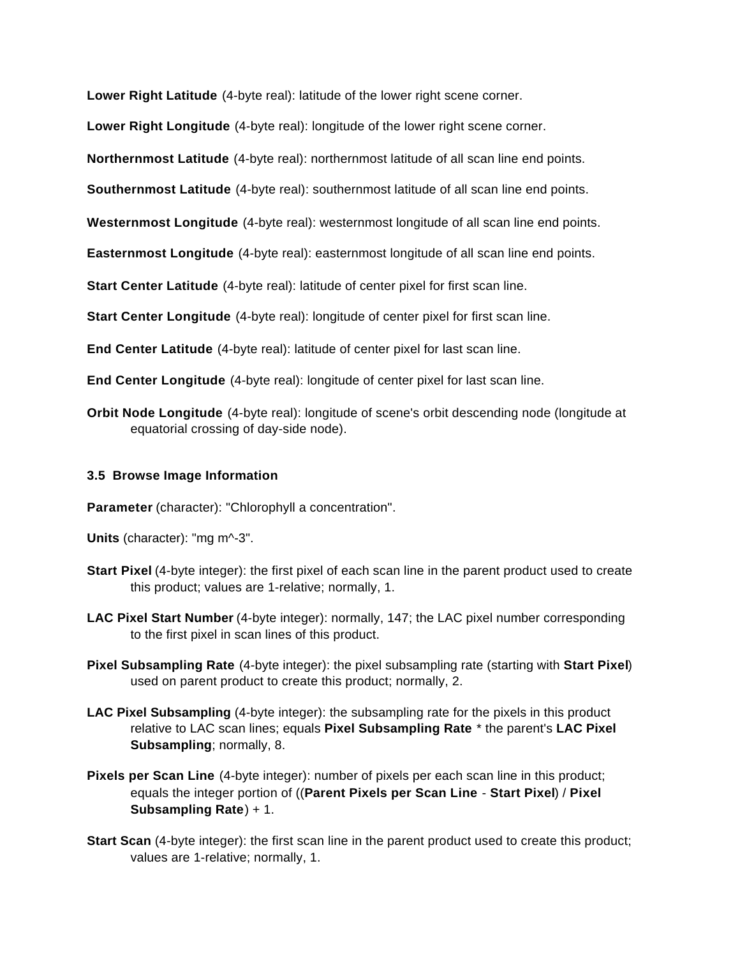**Lower Right Latitude** (4-byte real): latitude of the lower right scene corner.

**Lower Right Longitude** (4-byte real): longitude of the lower right scene corner.

**Northernmost Latitude** (4-byte real): northernmost latitude of all scan line end points.

**Southernmost Latitude** (4-byte real): southernmost latitude of all scan line end points.

**Westernmost Longitude** (4-byte real): westernmost longitude of all scan line end points.

**Easternmost Longitude** (4-byte real): easternmost longitude of all scan line end points.

**Start Center Latitude** (4-byte real): latitude of center pixel for first scan line.

**Start Center Longitude** (4-byte real): longitude of center pixel for first scan line.

**End Center Latitude** (4-byte real): latitude of center pixel for last scan line.

**End Center Longitude** (4-byte real): longitude of center pixel for last scan line.

**Orbit Node Longitude** (4-byte real): longitude of scene's orbit descending node (longitude at equatorial crossing of day-side node).

### **3.5 Browse Image Information**

**Parameter** (character): "Chlorophyll a concentration".

**Units** (character): "mg m^-3".

- **Start Pixel** (4-byte integer): the first pixel of each scan line in the parent product used to create this product; values are 1-relative; normally, 1.
- **LAC Pixel Start Number** (4-byte integer): normally, 147; the LAC pixel number corresponding to the first pixel in scan lines of this product.
- **Pixel Subsampling Rate** (4-byte integer): the pixel subsampling rate (starting with **Start Pixel**) used on parent product to create this product; normally, 2.
- **LAC Pixel Subsampling** (4-byte integer): the subsampling rate for the pixels in this product relative to LAC scan lines; equals **Pixel Subsampling Rate** \* the parent's **LAC Pixel Subsampling**; normally, 8.
- **Pixels per Scan Line** (4-byte integer): number of pixels per each scan line in this product; equals the integer portion of ((**Parent Pixels per Scan Line** - **Start Pixel**) / **Pixel Subsampling Rate**) + 1.
- **Start Scan** (4-byte integer): the first scan line in the parent product used to create this product; values are 1-relative; normally, 1.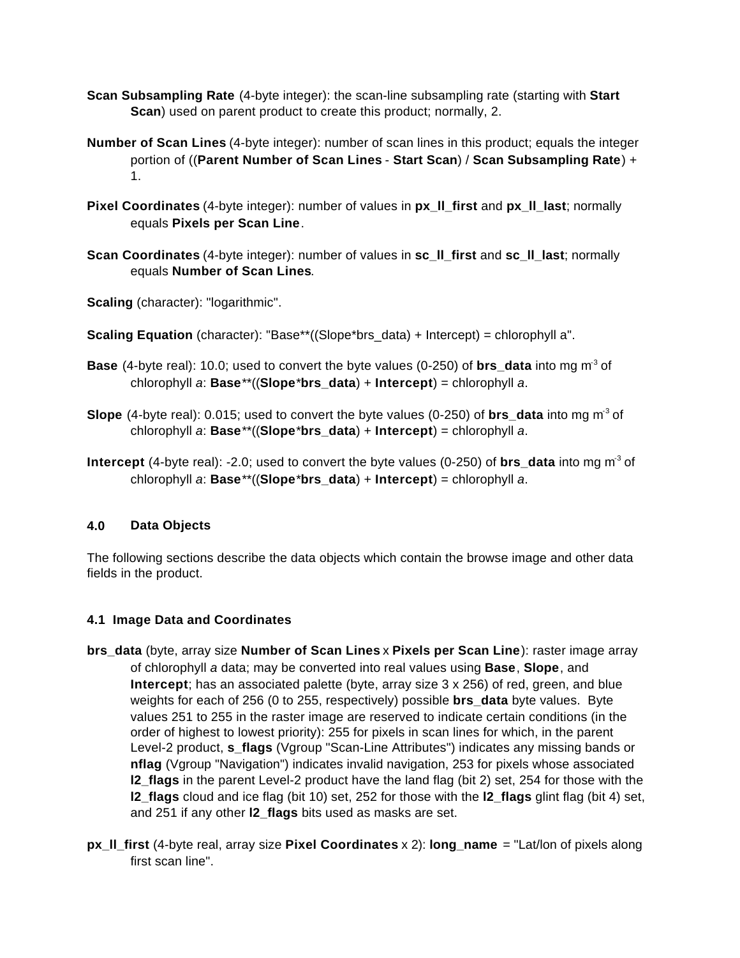- **Scan Subsampling Rate** (4-byte integer): the scan-line subsampling rate (starting with **Start Scan**) used on parent product to create this product; normally, 2.
- **Number of Scan Lines** (4-byte integer): number of scan lines in this product; equals the integer portion of ((**Parent Number of Scan Lines** - **Start Scan**) / **Scan Subsampling Rate**) + 1.
- **Pixel Coordinates** (4-byte integer): number of values in **px\_ll\_first** and **px\_ll\_last**; normally equals **Pixels per Scan Line**.
- **Scan Coordinates** (4-byte integer): number of values in **sc\_ll\_first** and **sc\_ll\_last**; normally equals **Number of Scan Lines**.
- **Scaling** (character): "logarithmic".
- **Scaling Equation** (character): "Base\*\*((Slope\*brs\_data) + Intercept) = chlorophyll a".
- **Base** (4-byte real): 10.0; used to convert the byte values (0-250) of **brs\_data** into mg m<sup>3</sup> of chlorophyll *a*: **Base**\*\*((**Slope**\***brs\_data**) + **Intercept**) = chlorophyll *a*.
- **Slope** (4-byte real): 0.015; used to convert the byte values (0-250) of **brs\_data** into mg m-3 of chlorophyll *a*: **Base**\*\*((**Slope**\***brs\_data**) + **Intercept**) = chlorophyll *a*.
- **Intercept** (4-byte real): -2.0; used to convert the byte values (0-250) of **brs\_data** into mg m-3 of chlorophyll *a*: **Base**\*\*((**Slope**\***brs\_data**) + **Intercept**) = chlorophyll *a*.

# **4.0 Data Objects**

The following sections describe the data objects which contain the browse image and other data fields in the product.

#### **4.1 Image Data and Coordinates**

- **brs\_data** (byte, array size **Number of Scan Lines** x **Pixels per Scan Line**): raster image array of chlorophyll *a* data; may be converted into real values using **Base**, **Slope**, and **Intercept**; has an associated palette (byte, array size 3 x 256) of red, green, and blue weights for each of 256 (0 to 255, respectively) possible **brs\_data** byte values. Byte values 251 to 255 in the raster image are reserved to indicate certain conditions (in the order of highest to lowest priority): 255 for pixels in scan lines for which, in the parent Level-2 product, **s\_flags** (Vgroup "Scan-Line Attributes") indicates any missing bands or **nflag** (Vgroup "Navigation") indicates invalid navigation, 253 for pixels whose associated **l2** flags in the parent Level-2 product have the land flag (bit 2) set, 254 for those with the **l2\_flags** cloud and ice flag (bit 10) set, 252 for those with the **l2\_flags** glint flag (bit 4) set, and 251 if any other **l2\_flags** bits used as masks are set.
- **px\_ll\_first** (4-byte real, array size **Pixel Coordinates** x 2): **long\_name** = "Lat/lon of pixels along first scan line".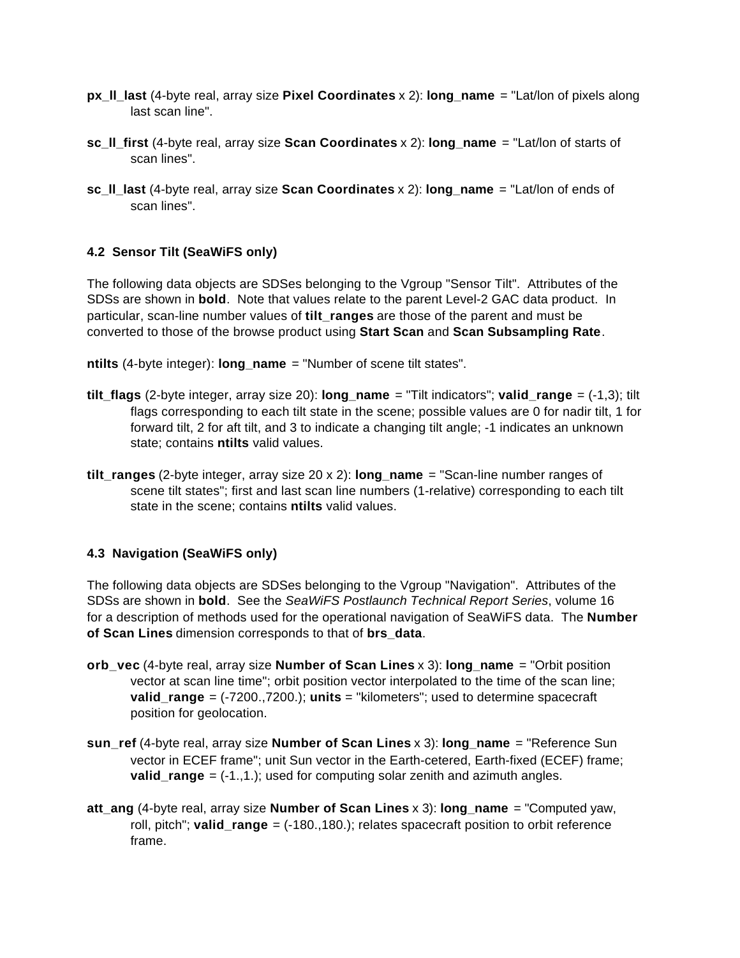- **px\_ll\_last** (4-byte real, array size **Pixel Coordinates** x 2): **long\_name** = "Lat/lon of pixels along last scan line".
- **sc\_ll\_first** (4-byte real, array size **Scan Coordinates** x 2): **long\_name** = "Lat/lon of starts of scan lines".
- **sc\_ll\_last** (4-byte real, array size **Scan Coordinates** x 2): **long\_name** = "Lat/lon of ends of scan lines".

## **4.2 Sensor Tilt (SeaWiFS only)**

The following data objects are SDSes belonging to the Vgroup "Sensor Tilt". Attributes of the SDSs are shown in **bold**. Note that values relate to the parent Level-2 GAC data product. In particular, scan-line number values of **tilt\_ranges** are those of the parent and must be converted to those of the browse product using **Start Scan** and **Scan Subsampling Rate**.

**ntilts** (4-byte integer): **long\_name** = "Number of scene tilt states".

- **tilt flags** (2-byte integer, array size 20): **long** name = "Tilt indicators"; **valid range** = (-1,3); tilt flags corresponding to each tilt state in the scene; possible values are 0 for nadir tilt, 1 for forward tilt, 2 for aft tilt, and 3 to indicate a changing tilt angle; -1 indicates an unknown state; contains **ntilts** valid values.
- **tilt\_ranges** (2-byte integer, array size 20 x 2): **long\_name** = "Scan-line number ranges of scene tilt states"; first and last scan line numbers (1-relative) corresponding to each tilt state in the scene; contains **ntilts** valid values.

#### **4.3 Navigation (SeaWiFS only)**

The following data objects are SDSes belonging to the Vgroup "Navigation". Attributes of the SDSs are shown in **bold**. See the *SeaWiFS Postlaunch Technical Report Series*, volume 16 for a description of methods used for the operational navigation of SeaWiFS data. The **Number of Scan Lines** dimension corresponds to that of **brs\_data**.

- **orb\_vec** (4-byte real, array size **Number of Scan Lines** x 3): **long\_name** = "Orbit position vector at scan line time"; orbit position vector interpolated to the time of the scan line; **valid\_range** = (-7200.,7200.); **units** = "kilometers"; used to determine spacecraft position for geolocation.
- **sun\_ref** (4-byte real, array size **Number of Scan Lines** x 3): **long\_name** = "Reference Sun vector in ECEF frame"; unit Sun vector in the Earth-cetered, Earth-fixed (ECEF) frame; **valid range**  $= (-1, 1.)$ ; used for computing solar zenith and azimuth angles.
- **att\_ang** (4-byte real, array size **Number of Scan Lines** x 3): **long\_name** = "Computed yaw, roll, pitch"; **valid\_range** = (-180.,180.); relates spacecraft position to orbit reference frame.